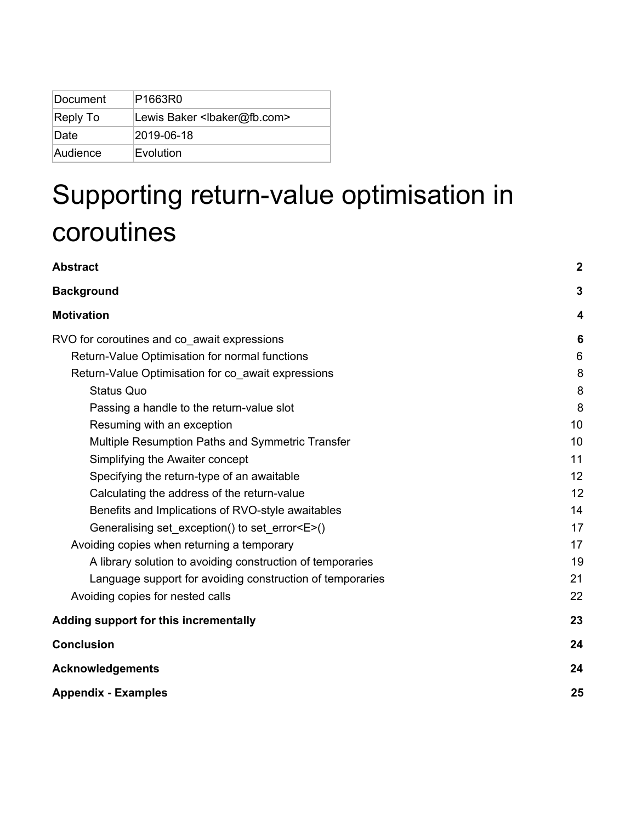| Document | P1663R0                                     |
|----------|---------------------------------------------|
| Reply To | Lewis Baker <lbaker@fb.com></lbaker@fb.com> |
| Date     | 2019-06-18                                  |
| Audience | Evolution                                   |

# Supporting return-value optimisation in coroutines

| <b>Abstract</b>                                            | $\boldsymbol{2}$        |
|------------------------------------------------------------|-------------------------|
| <b>Background</b>                                          | $\overline{\mathbf{3}}$ |
| <b>Motivation</b>                                          | 4                       |
| RVO for coroutines and co_await expressions                | 6                       |
| Return-Value Optimisation for normal functions             | 6                       |
| Return-Value Optimisation for co_await expressions         | 8                       |
| <b>Status Quo</b>                                          | 8                       |
| Passing a handle to the return-value slot                  | 8                       |
| Resuming with an exception                                 | 10                      |
| Multiple Resumption Paths and Symmetric Transfer           | 10                      |
| Simplifying the Awaiter concept                            | 11                      |
| Specifying the return-type of an awaitable                 | 12                      |
| Calculating the address of the return-value                | 12                      |
| Benefits and Implications of RVO-style awaitables          | 14                      |
| Generalising set_exception() to set_error <e>()</e>        | 17                      |
| Avoiding copies when returning a temporary                 | 17                      |
| A library solution to avoiding construction of temporaries | 19                      |
| Language support for avoiding construction of temporaries  | 21                      |
| Avoiding copies for nested calls                           | 22                      |
| Adding support for this incrementally                      | 23                      |
| <b>Conclusion</b>                                          | 24                      |
| <b>Acknowledgements</b>                                    | 24                      |
| <b>Appendix - Examples</b>                                 | 25                      |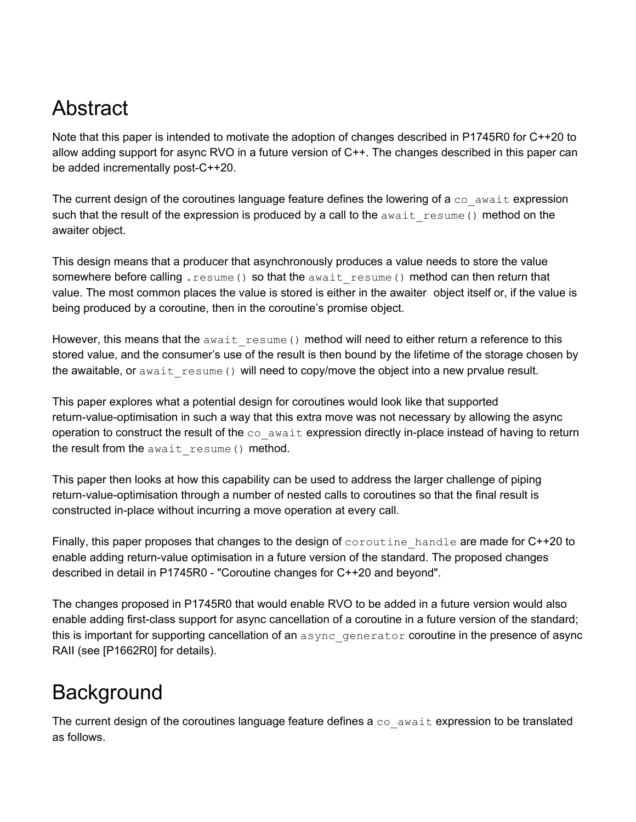# <span id="page-1-0"></span>Abstract

Note that this paper is intended to motivate the adoption of changes described in P1745R0 for C++20 to allow adding support for async RVO in a future version of C++. The changes described in this paper can be added incrementally post-C++20.

The current design of the coroutines language feature defines the lowering of  $a \circ a$  await expression such that the result of the expression is produced by a call to the  $a$ wait resume() method on the awaiter object.

This design means that a producer that asynchronously produces a value needs to store the value somewhere before calling . resume() so that the await resume() method can then return that value. The most common places the value is stored is either in the awaiter object itself or, if the value is being produced by a coroutine, then in the coroutine's promise object.

However, this means that the await resume () method will need to either return a reference to this stored value, and the consumer's use of the result is then bound by the lifetime of the storage chosen by the awaitable, or await resume() will need to copy/move the object into a new prvalue result.

This paper explores what a potential design for coroutines would look like that supported return-value-optimisation in such a way that this extra move was not necessary by allowing the async operation to construct the result of the  $\infty$  await expression directly in-place instead of having to return the result from the await resume() method.

This paper then looks at how this capability can be used to address the larger challenge of piping return-value-optimisation through a number of nested calls to coroutines so that the final result is constructed in-place without incurring a move operation at every call.

Finally, this paper proposes that changes to the design of coroutine handle are made for C++20 to enable adding return-value optimisation in a future version of the standard. The proposed changes described in detail in P1745R0 - "Coroutine changes for C++20 and beyond".

The changes proposed in P1745R0 that would enable RVO to be added in a future version would also enable adding first-class support for async cancellation of a coroutine in a future version of the standard; this is important for supporting cancellation of an async generator coroutine in the presence of async RAII (see [P1662R0] for details).

# <span id="page-1-1"></span>**Background**

The current design of the coroutines language feature defines a  $\cos$  await expression to be translated as follows.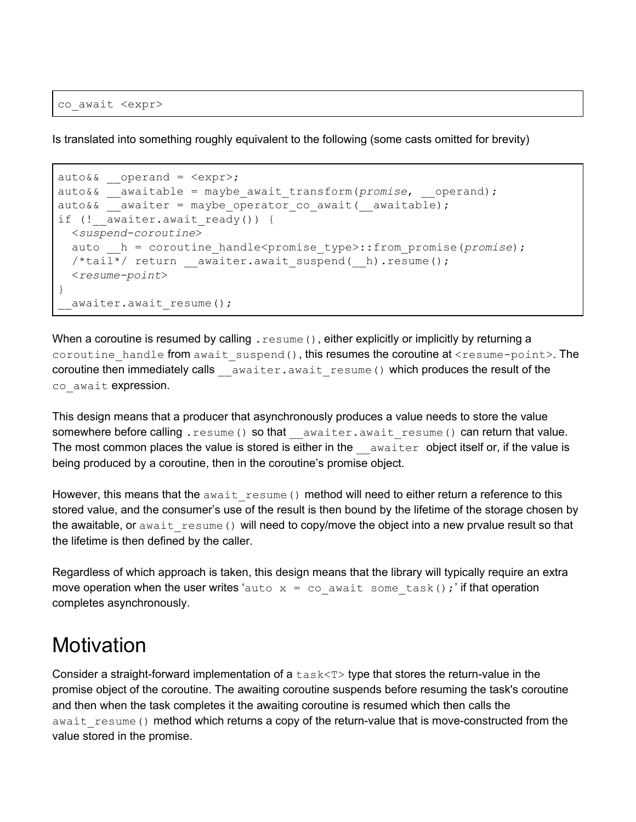co\_await <expr>

Is translated into something roughly equivalent to the following (some casts omitted for brevity)

```
auto&&\text{operand} = <expr>;auto&& __awaitable = maybe_await_transform(promise, __operand);
auto&& awaiter = maybe operator co await( awaitable);
if (! awaiter.await ready()) {
 <suspend-coroutine>
 auto h = coroutine handle<promise type>::from promise(promise);
  /*tail*/ return __awaiter.await_suspend(__h).resume();
  <resume-point>
}
 awaiter.await resume();
```
When a coroutine is resumed by calling  $,$  resume (), either explicitly or implicitly by returning a coroutine handle from await suspend(), this resumes the coroutine at <resume-point>. The coroutine then immediately calls awaiter.await resume() which produces the result of the co await expression.

This design means that a producer that asynchronously produces a value needs to store the value somewhere before calling . resume() so that awaiter.await resume() can return that value. The most common places the value is stored is either in the  $\alpha$  awaiter object itself or, if the value is being produced by a coroutine, then in the coroutine's promise object.

However, this means that the await resume () method will need to either return a reference to this stored value, and the consumer's use of the result is then bound by the lifetime of the storage chosen by the awaitable, or await  $r$ esume() will need to copy/move the object into a new prvalue result so that the lifetime is then defined by the caller.

Regardless of which approach is taken, this design means that the library will typically require an extra move operation when the user writes 'auto  $x = \infty$  await some task(); if that operation completes asynchronously.

### <span id="page-2-0"></span>**Motivation**

Consider a straight-forward implementation of a  $\text{task}\ll T$  type that stores the return-value in the promise object of the coroutine. The awaiting coroutine suspends before resuming the task's coroutine and then when the task completes it the awaiting coroutine is resumed which then calls the await resume() method which returns a copy of the return-value that is move-constructed from the value stored in the promise.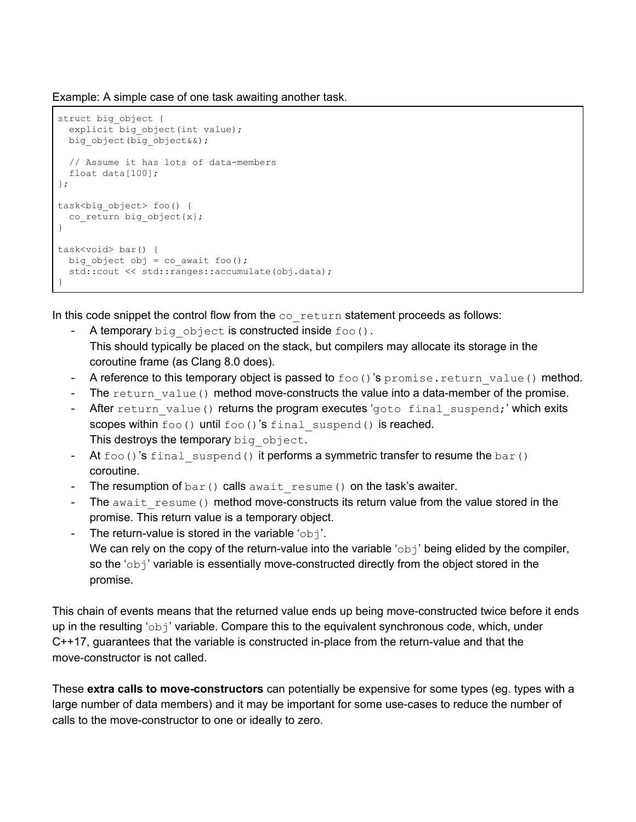Example: A simple case of one task awaiting another task.

```
struct big_object {
  explicit big object(int value);
   big_object(big_object&&);
  // Assume it has lots of data-members
  float data[100];
};
task<big_object> foo() {
  co_return big_object{x};
}
task<void> bar() {
 big object obj = co await foo();
   std::cout << std::ranges::accumulate(obj.data);
}
```
In this code snippet the control flow from the  $\cos$  return statement proceeds as follows:

- A temporary big object is constructed inside  $foo()$ . This should typically be placed on the stack, but compilers may allocate its storage in the coroutine frame (as Clang 8.0 does).
- A reference to this temporary object is passed to  $f \circ \circ$  ()'s promise.return value() method.
- The return value() method move-constructs the value into a data-member of the promise.
- After return value() returns the program executes 'goto final suspend;' which exits scopes within foo() until foo()'s final suspend() is reached. This destroys the temporary big object.
- At  $f \circ \circ$  ()'s final suspend() it performs a symmetric transfer to resume the bar() coroutine.
- The resumption of  $bar()$  calls await resume() on the task's awaiter.
- The await resume() method move-constructs its return value from the value stored in the promise. This return value is a temporary object.
- The return-value is stored in the variable ' $obj'.$ We can rely on the copy of the return-value into the variable ' $\circ$ b<sub>j</sub>' being elided by the compiler, so the 'obj' variable is essentially move-constructed directly from the object stored in the promise.

This chain of events means that the returned value ends up being move-constructed twice before it ends up in the resulting ' $obj'$  variable. Compare this to the equivalent synchronous code, which, under C++17, guarantees that the variable is constructed in-place from the return-value and that the move-constructor is not called.

These **extra calls to move-constructors** can potentially be expensive for some types (eg. types with a large number of data members) and it may be important for some use-cases to reduce the number of calls to the move-constructor to one or ideally to zero.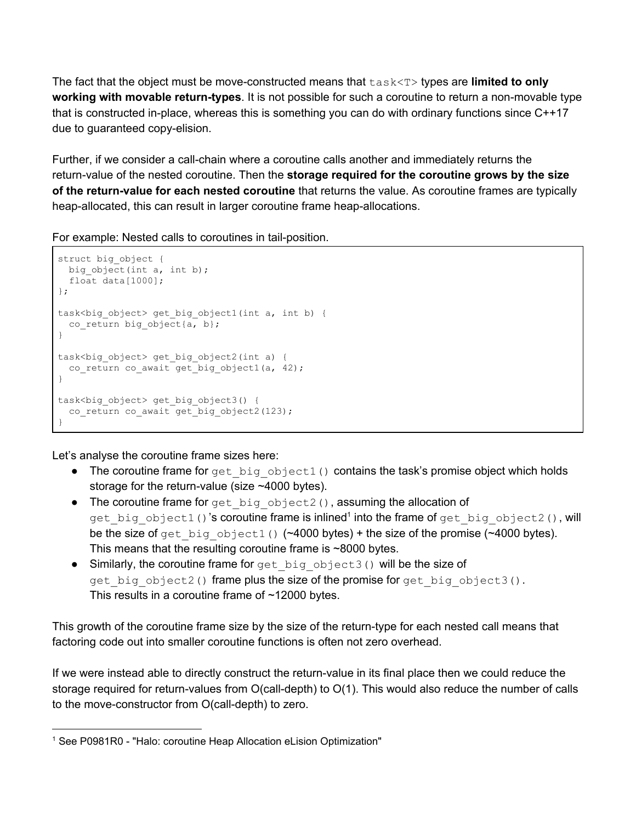The fact that the object must be move-constructed means that task<T> types are **limited to only working with movable return-types**. It is not possible for such a coroutine to return a non-movable type that is constructed in-place, whereas this is something you can do with ordinary functions since C++17 due to guaranteed copy-elision.

Further, if we consider a call-chain where a coroutine calls another and immediately returns the return-value of the nested coroutine. Then the **storage required for the coroutine grows by the size of the return-value for each nested coroutine** that returns the value. As coroutine frames are typically heap-allocated, this can result in larger coroutine frame heap-allocations.

For example: Nested calls to coroutines in tail-position.

```
struct big_object {
 big object(int a, int b);
  float data[1000];
};
task<big_object> get_big_object1(int a, int b) {
  co_return big_object{a, b};
}
task<big_object> get_big_object2(int a) {
  co_return co_await get_big_object1(a, 42);
}
task<br/>big_object> get_big_object3() {
   co_return co_await get_big_object2(123);
}
```
Let's analyse the coroutine frame sizes here:

- The coroutine frame for get big  $object1()$  contains the task's promise object which holds storage for the return-value (size ~4000 bytes).
- The coroutine frame for get big object2(), assuming the allocation of get\_big\_object1()'**s coroutine frame is inlined<sup>1</sup> into the frame of** get\_big\_object2(), will be the size of get big object1() ( $~4000$  bytes) + the size of the promise ( $~4000$  bytes). This means that the resulting coroutine frame is ~8000 bytes.
- $\bullet$  Similarly, the coroutine frame for get big object3() will be the size of get big object2() frame plus the size of the promise for get big object3(). This results in a coroutine frame of ~12000 bytes.

This growth of the coroutine frame size by the size of the return-type for each nested call means that factoring code out into smaller coroutine functions is often not zero overhead.

If we were instead able to directly construct the return-value in its final place then we could reduce the storage required for return-values from O(call-depth) to O(1). This would also reduce the number of calls to the move-constructor from O(call-depth) to zero.

<sup>1</sup> See P0981R0 - "Halo: coroutine Heap Allocation eLision Optimization"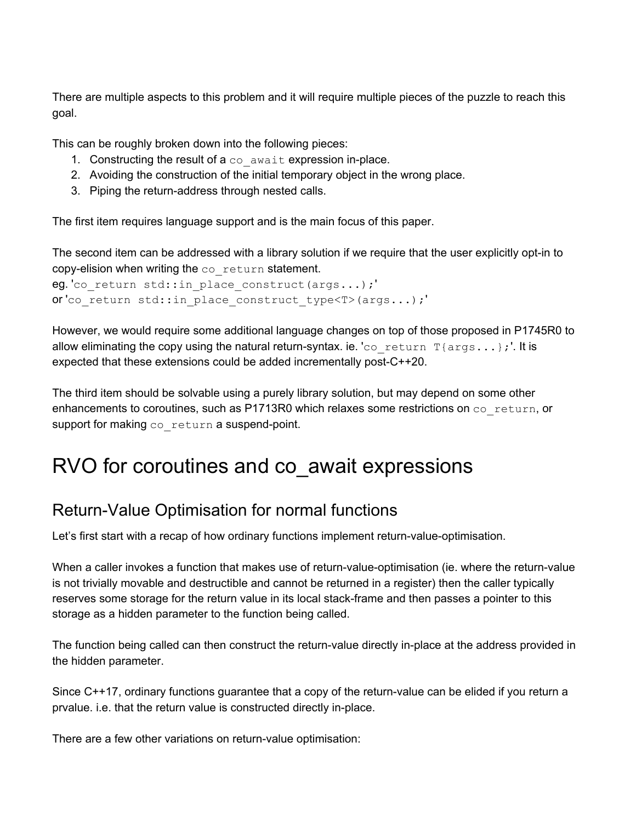There are multiple aspects to this problem and it will require multiple pieces of the puzzle to reach this goal.

This can be roughly broken down into the following pieces:

- 1. Constructing the result of  $a \circ a$  await expression in-place.
- 2. Avoiding the construction of the initial temporary object in the wrong place.
- 3. Piping the return-address through nested calls.

The first item requires language support and is the main focus of this paper.

The second item can be addressed with a library solution if we require that the user explicitly opt-in to copy-elision when writing the co\_return statement.

```
eg. 'co return std::in place construct(args...);'
or 'co_return std::in_place_construct_type<T>(args...);'
```
However, we would require some additional language changes on top of those proposed in P1745R0 to allow eliminating the copy using the natural return-syntax. ie. 'co\_return  $T\{args...\}$ ;'. It is expected that these extensions could be added incrementally post-C++20.

The third item should be solvable using a purely library solution, but may depend on some other enhancements to coroutines, such as P1713R0 which relaxes some restrictions on  $\cos$  return, or support for making  $\cos$  return a suspend-point.

# <span id="page-5-0"></span>RVO for coroutines and co\_await expressions

### <span id="page-5-1"></span>Return-Value Optimisation for normal functions

Let's first start with a recap of how ordinary functions implement return-value-optimisation.

When a caller invokes a function that makes use of return-value-optimisation (ie. where the return-value is not trivially movable and destructible and cannot be returned in a register) then the caller typically reserves some storage for the return value in its local stack-frame and then passes a pointer to this storage as a hidden parameter to the function being called.

The function being called can then construct the return-value directly in-place at the address provided in the hidden parameter.

Since C++17, ordinary functions guarantee that a copy of the return-value can be elided if you return a prvalue. i.e. that the return value is constructed directly in-place.

There are a few other variations on return-value optimisation: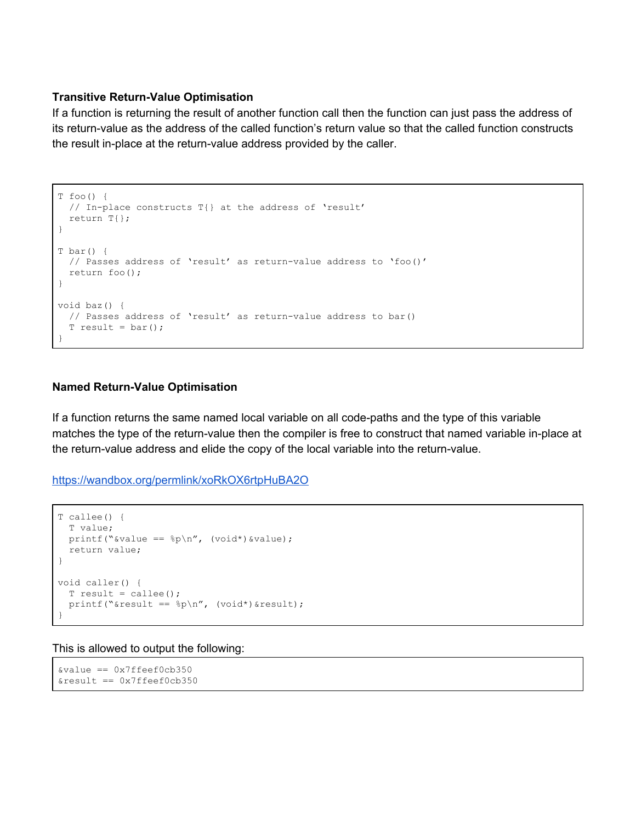#### **Transitive Return-Value Optimisation**

If a function is returning the result of another function call then the function can just pass the address of its return-value as the address of the called function's return value so that the called function constructs the result in-place at the return-value address provided by the caller.

```
T foo() {
  // In-place constructs T{} at the address of 'result'
  return T{};
}
T bar() {
  // Passes address of 'result' as return-value address to 'foo()'
  return foo();
}
void baz() {
  // Passes address of 'result' as return-value address to bar()
  T result = bar();
}
```
#### **Named Return-Value Optimisation**

If a function returns the same named local variable on all code-paths and the type of this variable matches the type of the return-value then the compiler is free to construct that named variable in-place at the return-value address and elide the copy of the local variable into the return-value.

<https://wandbox.org/permlink/xoRkOX6rtpHuBA2O>

```
T callee() {
  T value;
 printf("&value == p \nvert n'', (void*) &value);
  return value;
}
void caller() {
 T result = calile();
 printf("&result == %p\n", (void*)&result);
}
```
This is allowed to output the following:

```
&value == 0x7ffeef0cb350
&result == 0x7ffeef0cb350
```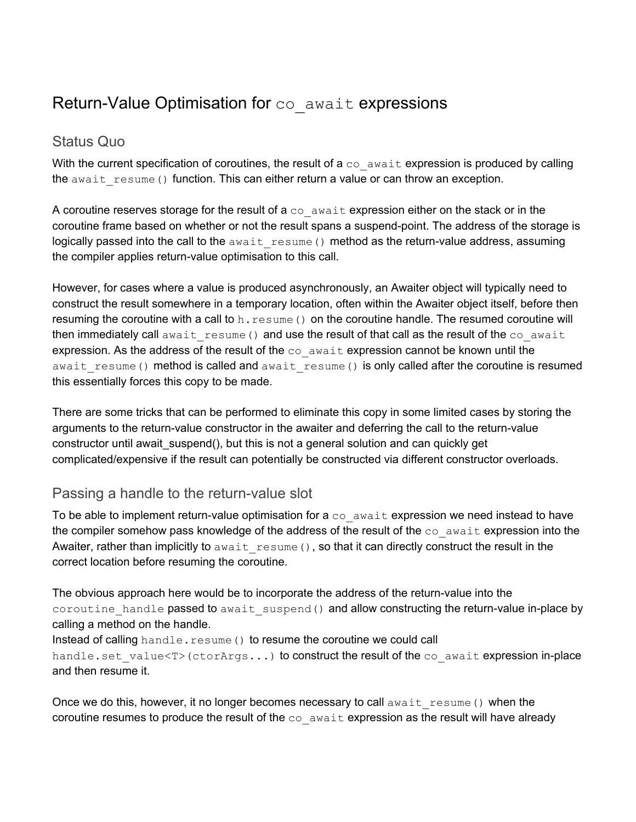### <span id="page-7-0"></span>Return-Value Optimisation for co\_await expressions

#### <span id="page-7-1"></span>Status Quo

With the current specification of coroutines, the result of a  $\cos$  await expression is produced by calling the await resume() function. This can either return a value or can throw an exception.

A coroutine reserves storage for the result of a  $\cos$  await expression either on the stack or in the coroutine frame based on whether or not the result spans a suspend-point. The address of the storage is logically passed into the call to the await resume() method as the return-value address, assuming the compiler applies return-value optimisation to this call.

However, for cases where a value is produced asynchronously, an Awaiter object will typically need to construct the result somewhere in a temporary location, often within the Awaiter object itself, before then resuming the coroutine with a call to h. resume () on the coroutine handle. The resumed coroutine will then immediately call await resume() and use the result of that call as the result of the  $\cos$  await expression. As the address of the result of the  $\cos$  await expression cannot be known until the await resume() method is called and await resume() is only called after the coroutine is resumed this essentially forces this copy to be made.

There are some tricks that can be performed to eliminate this copy in some limited cases by storing the arguments to the return-value constructor in the awaiter and deferring the call to the return-value constructor until await\_suspend(), but this is not a general solution and can quickly get complicated/expensive if the result can potentially be constructed via different constructor overloads.

#### <span id="page-7-2"></span>Passing a handle to the return-value slot

To be able to implement return-value optimisation for a  $\infty$  await expression we need instead to have the compiler somehow pass knowledge of the address of the result of the  $\cos$  await expression into the Awaiter, rather than implicitly to await resume (), so that it can directly construct the result in the correct location before resuming the coroutine.

The obvious approach here would be to incorporate the address of the return-value into the coroutine handle passed to await suspend() and allow constructing the return-value in-place by calling a method on the handle.

Instead of calling  $h$  and  $l$  e.  $r$  esume () to resume the coroutine we could call handle.set value<T>(ctorArgs...) to construct the result of the co\_await expression in-place and then resume it.

Once we do this, however, it no longer becomes necessary to call await resume() when the coroutine resumes to produce the result of the  $\cos$  await expression as the result will have already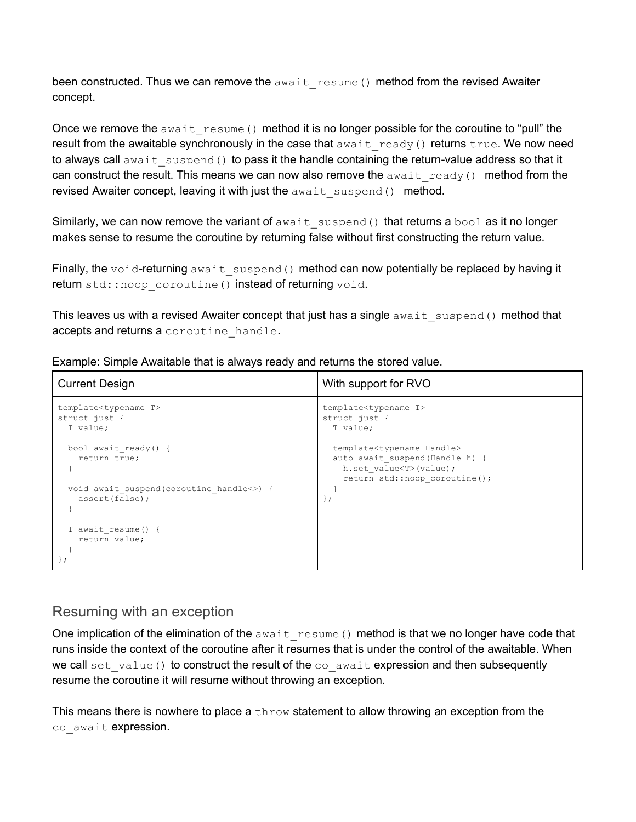been constructed. Thus we can remove the  $a$ wait resume() method from the revised Awaiter concept.

Once we remove the  $a_{\text{wait}}$  resume() method it is no longer possible for the coroutine to "pull" the result from the awaitable synchronously in the case that  $a$ wait ready() returns true. We now need to always call await suspend() to pass it the handle containing the return-value address so that it can construct the result. This means we can now also remove the  $a$ wait ready() method from the revised Awaiter concept, leaving it with just the await suspend() method.

Similarly, we can now remove the variant of await suspend() that returns a bool as it no longer makes sense to resume the coroutine by returning false without first constructing the return value.

Finally, the void-returning await suspend() method can now potentially be replaced by having it return std::noop\_coroutine() instead of returning void.

This leaves us with a revised Awaiter concept that just has a single  $a$ wait suspend() method that accepts and returns a coroutine handle.

| <b>Current Design</b>                                                                                | With support for RVO                                                                                                                                               |
|------------------------------------------------------------------------------------------------------|--------------------------------------------------------------------------------------------------------------------------------------------------------------------|
| template <typename t=""><br/>struct just {<br/>T value;</typename>                                   | template <typename t=""><br/>struct just {<br/>T value;</typename>                                                                                                 |
| bool await ready() {<br>return true;<br>void await suspend (coroutine handle<>) {<br>assert (false); | template <typename handle=""><br/>auto await suspend (Handle h) {<br/>h.set value<t>(value);<br/>return std::noop coroutine();<br/><math>\}</math>;</t></typename> |
| T await resume() {<br>return value;                                                                  |                                                                                                                                                                    |

Example: Simple Awaitable that is always ready and returns the stored value.

#### <span id="page-8-0"></span>Resuming with an exception

One implication of the elimination of the await resume() method is that we no longer have code that runs inside the context of the coroutine after it resumes that is under the control of the awaitable. When we call set value() to construct the result of the co\_await expression and then subsequently resume the coroutine it will resume without throwing an exception.

This means there is nowhere to place a  $\text{throw}$  statement to allow throwing an exception from the co await expression.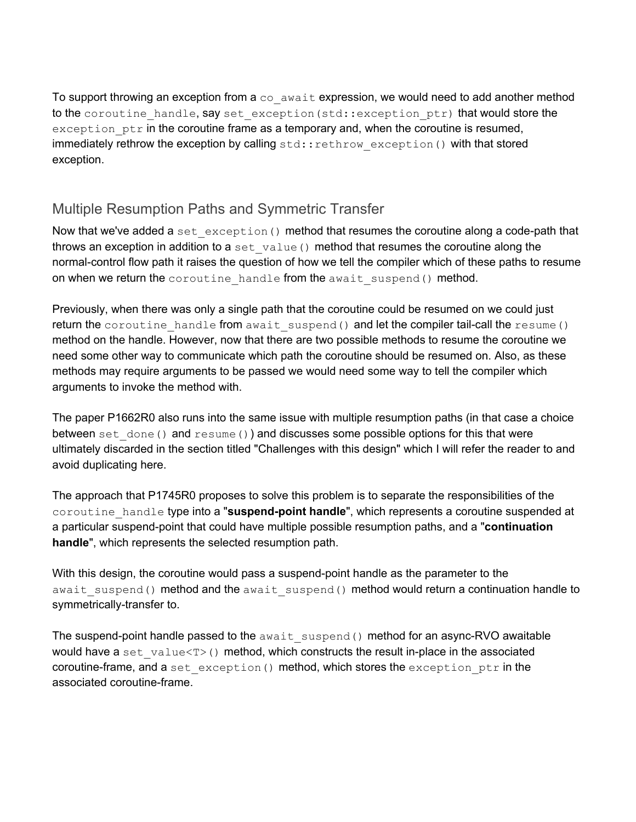To support throwing an exception from a  $\cos$  await expression, we would need to add another method to the coroutine handle, say set exception (std::exception ptr) that would store the  $exception<sub>ptr</sub>$  in the coroutine frame as a temporary and, when the coroutine is resumed, immediately rethrow the exception by calling std::rethrow exception() with that stored exception.

### <span id="page-9-0"></span>Multiple Resumption Paths and Symmetric Transfer

Now that we've added a set  $exception()$  method that resumes the coroutine along a code-path that throws an exception in addition to a set value () method that resumes the coroutine along the normal-control flow path it raises the question of how we tell the compiler which of these paths to resume on when we return the coroutine handle from the await suspend() method.

Previously, when there was only a single path that the coroutine could be resumed on we could just return the coroutine handle from await suspend() and let the compiler tail-call the resume() method on the handle. However, now that there are two possible methods to resume the coroutine we need some other way to communicate which path the coroutine should be resumed on. Also, as these methods may require arguments to be passed we would need some way to tell the compiler which arguments to invoke the method with.

The paper P1662R0 also runs into the same issue with multiple resumption paths (in that case a choice between set done() and resume()) and discusses some possible options for this that were ultimately discarded in the section titled "Challenges with this design" which I will refer the reader to and avoid duplicating here.

The approach that P1745R0 proposes to solve this problem is to separate the responsibilities of the coroutine\_handle type into a "**suspend-point handle**", which represents a coroutine suspended at a particular suspend-point that could have multiple possible resumption paths, and a "**continuation handle**", which represents the selected resumption path.

With this design, the coroutine would pass a suspend-point handle as the parameter to the await suspend() method and the await suspend() method would return a continuation handle to symmetrically-transfer to.

The suspend-point handle passed to the  $a$ wait suspend() method for an async-RVO awaitable would have a set  $value < T>$  () method, which constructs the result in-place in the associated coroutine-frame, and a set exception() method, which stores the exception ptr in the associated coroutine-frame.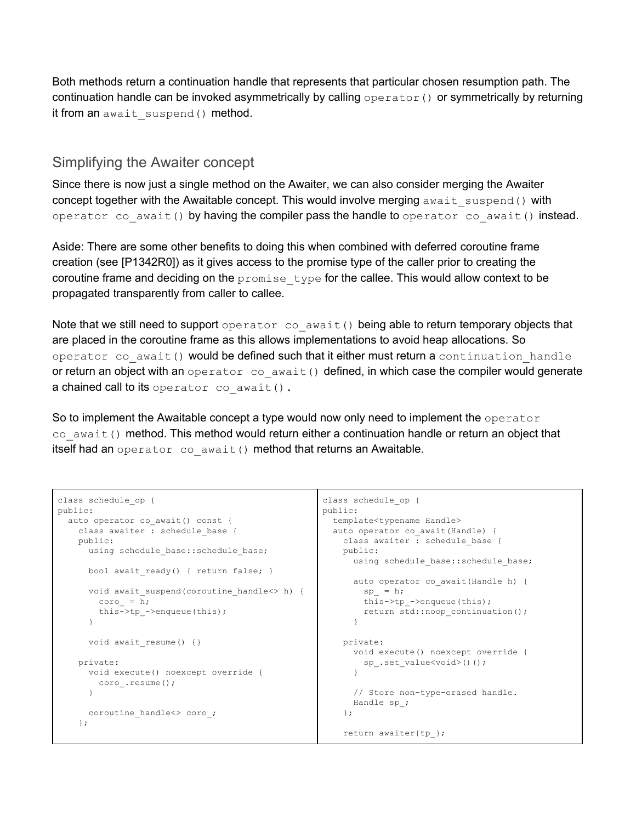Both methods return a continuation handle that represents that particular chosen resumption path. The continuation handle can be invoked asymmetrically by calling  $operatorname{operator}(\cdot)$  or symmetrically by returning it from an await suspend() method.

#### <span id="page-10-0"></span>Simplifying the Awaiter concept

Since there is now just a single method on the Awaiter, we can also consider merging the Awaiter concept together with the Awaitable concept. This would involve merging  $a$ wait suspend() with operator co await() by having the compiler pass the handle to operator co await() instead.

Aside: There are some other benefits to doing this when combined with deferred coroutine frame creation (see [P1342R0]) as it gives access to the promise type of the caller prior to creating the coroutine frame and deciding on the  $promise$  type for the callee. This would allow context to be propagated transparently from caller to callee.

Note that we still need to support operator co await() being able to return temporary objects that are placed in the coroutine frame as this allows implementations to avoid heap allocations. So operator co await() would be defined such that it either must return a continuation handle or return an object with an operator co await() defined, in which case the compiler would generate a chained call to its operator co await().

So to implement the Awaitable concept a type would now only need to implement the operator co await() method. This method would return either a continuation handle or return an object that itself had an operator co await () method that returns an Awaitable.

```
class schedule_op {
public:
 auto operator co_await() const {
   class awaiter : schedule base {
   public:
     using schedule base::schedule base;
     bool await ready() { return false; }
     void await suspend(coroutine handle<> h) {
       coro = h;
       this->tp_->enqueue(this);
     }
     void await resume() {}
   private:
     void execute() noexcept override {
      coro_.resume();
     }
     coroutine handle<> coro ;
    };
```

```
class schedule_op {
public:
 template<typename Handle>
  auto operator co_await(Handle) {
   class awaiter : schedule base {
   public:
     using schedule base::schedule base;
     auto operator co_await(Handle h) {
        sp_{i} = h;
        this->tp_->enqueue(this);
        return std::noop_continuation();
      }
   private:
      void execute() noexcept override {
       sp_.set_value<void>()();
       }
      // Store non-type-erased handle.
      Handle sp_;
    };
    return awaiter{tp_};
```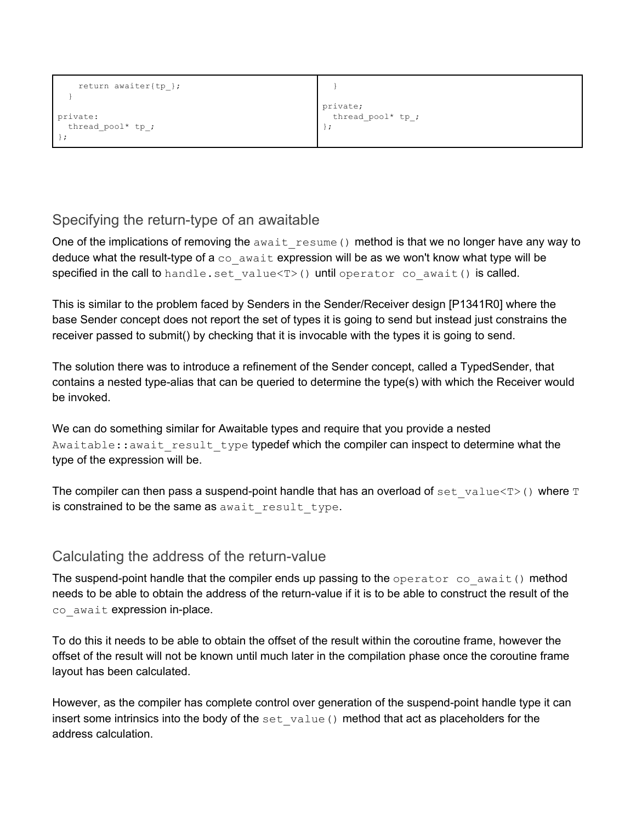| return awaiter{tp }; |                   |
|----------------------|-------------------|
| private:             | private;          |
| thread pool* tp ;    | thread_pool* tp_; |

#### <span id="page-11-0"></span>Specifying the return-type of an awaitable

One of the implications of removing the await resume() method is that we no longer have any way to deduce what the result-type of a  $\cos$  await expression will be as we won't know what type will be specified in the call to handle.set value<T>() until operator co await() is called.

This is similar to the problem faced by Senders in the Sender/Receiver design [P1341R0] where the base Sender concept does not report the set of types it is going to send but instead just constrains the receiver passed to submit() by checking that it is invocable with the types it is going to send.

The solution there was to introduce a refinement of the Sender concept, called a TypedSender, that contains a nested type-alias that can be queried to determine the type(s) with which the Receiver would be invoked.

We can do something similar for Awaitable types and require that you provide a nested Awaitable:: await result type typedef which the compiler can inspect to determine what the type of the expression will be.

The compiler can then pass a suspend-point handle that has an overload of set value< $T$ >() where T is constrained to be the same as await result type.

#### <span id="page-11-1"></span>Calculating the address of the return-value

The suspend-point handle that the compiler ends up passing to the operator co await() method needs to be able to obtain the address of the return-value if it is to be able to construct the result of the co await expression in-place.

To do this it needs to be able to obtain the offset of the result within the coroutine frame, however the offset of the result will not be known until much later in the compilation phase once the coroutine frame layout has been calculated.

However, as the compiler has complete control over generation of the suspend-point handle type it can insert some intrinsics into the body of the set value() method that act as placeholders for the address calculation.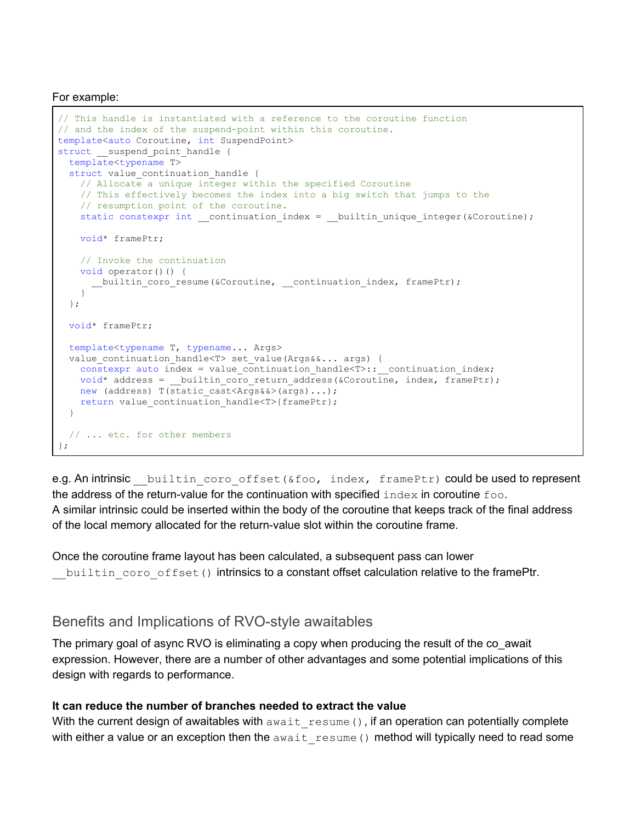For example:

```
// This handle is instantiated with a reference to the coroutine function
// and the index of the suspend-point within this coroutine.
template<auto Coroutine, int SuspendPoint>
struct __suspend_point_handle {
  template<typename T>
 struct value continuation handle {
    // Allocate a unique integer within the specified Coroutine
    // This effectively becomes the index into a big switch that jumps to the
    // resumption point of the coroutine.
   static constexpr int __continuation_index = __builtin_unique_integer(&Coroutine);
    void* framePtr;
    // Invoke the continuation
   void operator()() {
       __builtin_coro_resume(&Coroutine, __continuation_index, framePtr);
 }
  };
  void* framePtr;
  template<typename T, typename... Args>
 value continuation handle<T> set value(Args&&... args) {
   constexpr auto index = value continuation handle<T>:: continuation index;
   void* address = __ builtin_coro_return_address(&Coroutine, index, framePtr);
   new (address) T(static cast<Args&&>(args)...);
   return value continuation handle<T>{framePtr};
   }
  // ... etc. for other members
};
```
e.g. An intrinsic builtin coro offset(&foo, index, framePtr) could be used to represent the address of the return-value for the continuation with specified index in coroutine foo. A similar intrinsic could be inserted within the body of the coroutine that keeps track of the final address of the local memory allocated for the return-value slot within the coroutine frame.

Once the coroutine frame layout has been calculated, a subsequent pass can lower builtin coro offset() intrinsics to a constant offset calculation relative to the framePtr.

#### <span id="page-12-0"></span>Benefits and Implications of RVO-style awaitables

The primary goal of async RVO is eliminating a copy when producing the result of the co\_await expression. However, there are a number of other advantages and some potential implications of this design with regards to performance.

#### **It can reduce the number of branches needed to extract the value**

With the current design of awaitables with await resume(), if an operation can potentially complete with either a value or an exception then the  $a$ wait resume() method will typically need to read some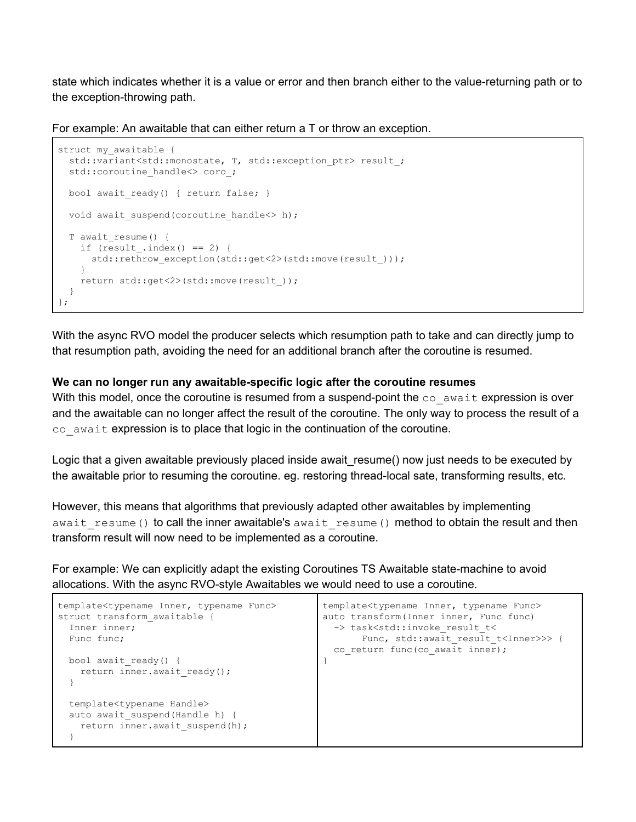state which indicates whether it is a value or error and then branch either to the value-returning path or to the exception-throwing path.

For example: An awaitable that can either return a T or throw an exception.

```
struct my awaitable {
 std::variant<std::monostate, T, std::exception ptr> result ;
  std::coroutine_handle<> coro_;
 bool await ready() { return false; }
 void await suspend(coroutine handle<> h);
 T await resume() {
   if (result_,index() == 2) {
     std::rethrow exception(std::get<2>(std::move(result )));
     }
    return std::get<2>(std::move(result_));
   }
};
```
With the async RVO model the producer selects which resumption path to take and can directly jump to that resumption path, avoiding the need for an additional branch after the coroutine is resumed.

#### **We can no longer run any awaitable-specific logic after the coroutine resumes**

With this model, once the coroutine is resumed from a suspend-point the  $\cos$  await expression is over and the awaitable can no longer affect the result of the coroutine. The only way to process the result of a  $\cos$  await expression is to place that logic in the continuation of the coroutine.

Logic that a given awaitable previously placed inside await resume() now just needs to be executed by the awaitable prior to resuming the coroutine. eg. restoring thread-local sate, transforming results, etc.

However, this means that algorithms that previously adapted other awaitables by implementing await resume() to call the inner awaitable's await resume() method to obtain the result and then transform result will now need to be implemented as a coroutine.

For example: We can explicitly adapt the existing Coroutines TS Awaitable state-machine to avoid allocations. With the async RVO-style Awaitables we would need to use a coroutine.

| template <typename func="" inner,="" typename=""><br/>struct transform awaitable {<br/>Inner inner:</typename> | template <typename func="" inner,="" typename=""><br/>auto transform (Inner inner, Func func)<br/>-&gt; task<std::invoke result="" t<<="" th=""></std::invoke></typename> |
|----------------------------------------------------------------------------------------------------------------|---------------------------------------------------------------------------------------------------------------------------------------------------------------------------|
| Func func:                                                                                                     | Func, std:: await result t <inner>&gt;&gt; {</inner>                                                                                                                      |
|                                                                                                                | co return func (co await inner);                                                                                                                                          |
| bool await ready() {                                                                                           |                                                                                                                                                                           |
| return inner.await ready();                                                                                    |                                                                                                                                                                           |
|                                                                                                                |                                                                                                                                                                           |
| template <typename handle=""></typename>                                                                       |                                                                                                                                                                           |
| auto await suspend (Handle h) {                                                                                |                                                                                                                                                                           |
| return inner.await suspend(h);                                                                                 |                                                                                                                                                                           |
|                                                                                                                |                                                                                                                                                                           |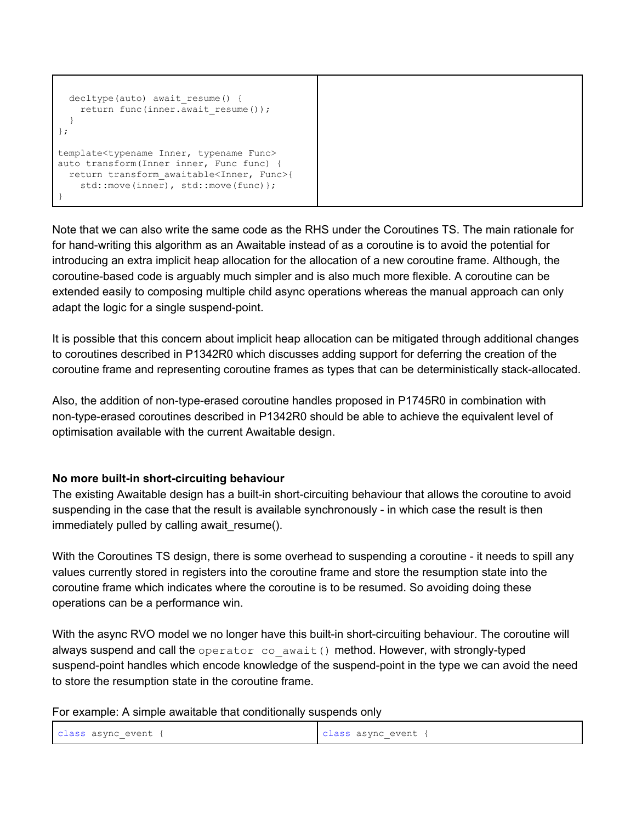```
decltype(auto) await resume() {
   return func(inner.await resume());
  }
};
template<typename Inner, typename Func>
auto transform(Inner inner, Func func) {
  return transform_awaitable<Inner, Func>{
   std::move(inner), std::move(func)};
}
```
Note that we can also write the same code as the RHS under the Coroutines TS. The main rationale for for hand-writing this algorithm as an Awaitable instead of as a coroutine is to avoid the potential for introducing an extra implicit heap allocation for the allocation of a new coroutine frame. Although, the coroutine-based code is arguably much simpler and is also much more flexible. A coroutine can be extended easily to composing multiple child async operations whereas the manual approach can only adapt the logic for a single suspend-point.

It is possible that this concern about implicit heap allocation can be mitigated through additional changes to coroutines described in P1342R0 which discusses adding support for deferring the creation of the coroutine frame and representing coroutine frames as types that can be deterministically stack-allocated.

Also, the addition of non-type-erased coroutine handles proposed in P1745R0 in combination with non-type-erased coroutines described in P1342R0 should be able to achieve the equivalent level of optimisation available with the current Awaitable design.

#### **No more built-in short-circuiting behaviour**

The existing Awaitable design has a built-in short-circuiting behaviour that allows the coroutine to avoid suspending in the case that the result is available synchronously - in which case the result is then immediately pulled by calling await\_resume().

With the Coroutines TS design, there is some overhead to suspending a coroutine - it needs to spill any values currently stored in registers into the coroutine frame and store the resumption state into the coroutine frame which indicates where the coroutine is to be resumed. So avoiding doing these operations can be a performance win.

With the async RVO model we no longer have this built-in short-circuiting behaviour. The coroutine will always suspend and call the operator co await() method. However, with strongly-typed suspend-point handles which encode knowledge of the suspend-point in the type we can avoid the need to store the resumption state in the coroutine frame.

For example: A simple awaitable that conditionally suspends only

| class async event { | class async event $\mathfrak t$ |
|---------------------|---------------------------------|
|---------------------|---------------------------------|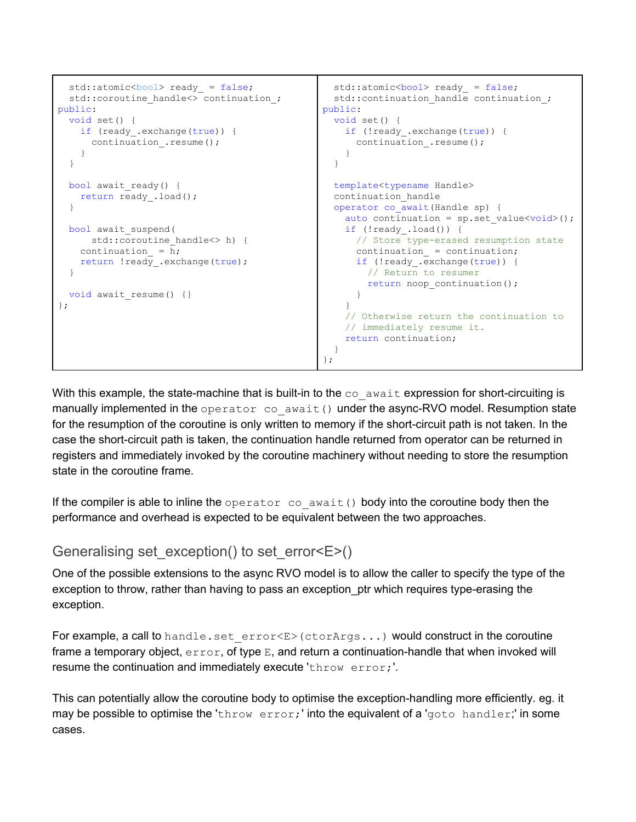```
std::atomic<bool> ready_ = false;
  std::coroutine handle<> continuation;
public:
  void set() {
    if (ready_.exchange(true)) {
     continuation .resume();
     }
   }
  bool await ready() {
    return ready_.load();
   }
  bool await_suspend(
    std::coroutine handle<> h) {
   continuation = \overline{h};
   return ! ready . exchange (true) ;
   }
 void await resume() {}
};
                                                    std::atomic<bool> ready_ = false;
                                                    std::continuation handle continuation;
                                                  public:
                                                     void set() {
                                                       if (!ready_.exchange(true)) {
                                                        continuation .resume();
                                                        }
                                                     }
                                                     template<typename Handle>
                                                     continuation_handle
                                                     operator co_await(Handle sp) {
                                                      auto continuation = sp.set value\langle\text{void}\rangle();
                                                      if (!ready .load()) {
                                                         // Store type-erased resumption state
                                                         continuation_ = continuation;
                                                         if (!ready_.exchange(true)) {
                                                           // Return to resumer
                                                          return noop continuation();
                                                         }
                                                        }
                                                        // Otherwise return the continuation to
                                                       // immediately resume it.
                                                       return continuation;
                                                     }
                                                   };
```
With this example, the state-machine that is built-in to the  $\cos$  await expression for short-circuiting is manually implemented in the operator co await() under the async-RVO model. Resumption state for the resumption of the coroutine is only written to memory if the short-circuit path is not taken. In the case the short-circuit path is taken, the continuation handle returned from operator can be returned in registers and immediately invoked by the coroutine machinery without needing to store the resumption state in the coroutine frame.

If the compiler is able to inline the operator co\_await() body into the coroutine body then the performance and overhead is expected to be equivalent between the two approaches.

### <span id="page-15-0"></span>Generalising set exception() to set error  $\epsilon$  >()

One of the possible extensions to the async RVO model is to allow the caller to specify the type of the exception to throw, rather than having to pass an exception ptr which requires type-erasing the exception.

For example, a call to handle.set error<E>(ctorArgs...) would construct in the coroutine frame a temporary object,  $error$ , of type  $E$ , and return a continuation-handle that when invoked will resume the continuation and immediately execute 'throw error;'.

This can potentially allow the coroutine body to optimise the exception-handling more efficiently. eg. it may be possible to optimise the 'throw error;' into the equivalent of a 'goto handler;' in some cases.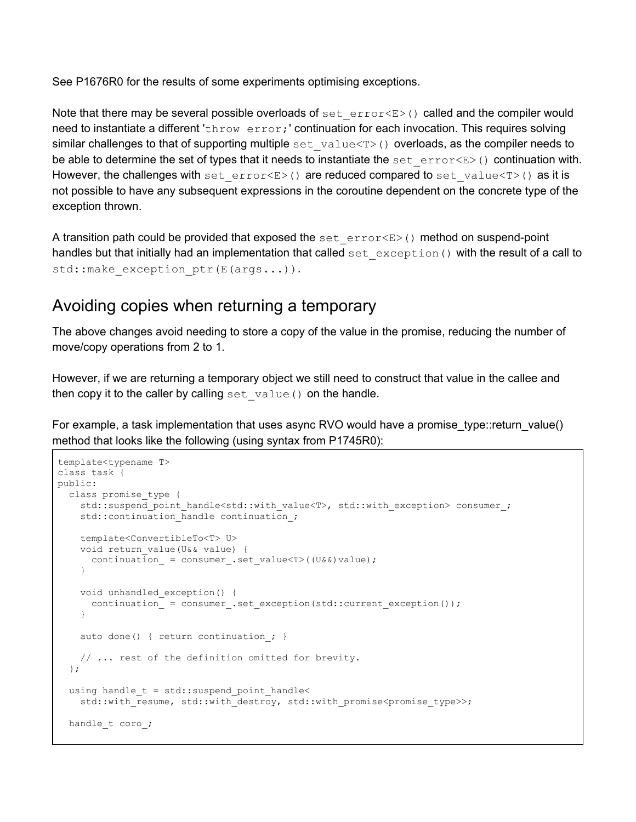See P1676R0 for the results of some experiments optimising exceptions.

Note that there may be several possible overloads of set  $error < E$  () called and the compiler would need to instantiate a different 'throw error; ' continuation for each invocation. This requires solving similar challenges to that of supporting multiple set value  $(T>0)$  overloads, as the compiler needs to be able to determine the set of types that it needs to instantiate the set error $\langle E \rangle$  () continuation with. However, the challenges with set error $\leq E>$ () are reduced compared to set value $\leq T>$ () as it is not possible to have any subsequent expressions in the coroutine dependent on the concrete type of the exception thrown.

A transition path could be provided that exposed the set  $\epsilon$  error $\langle E \rangle$  () method on suspend-point handles but that initially had an implementation that called set exception() with the result of a call to std::make exception ptr(E(args...)).

### <span id="page-16-0"></span>Avoiding copies when returning a temporary

The above changes avoid needing to store a copy of the value in the promise, reducing the number of move/copy operations from 2 to 1.

However, if we are returning a temporary object we still need to construct that value in the callee and then copy it to the caller by calling set  $value()$  on the handle.

For example, a task implementation that uses async RVO would have a promise type::return\_value() method that looks like the following (using syntax from P1745R0):

```
template<typename T>
class task {
public:
  class promise_type {
   std::suspend_point_handle<std::with_value<T>, std::with_exception>_consumer_;
   std::continuation handle continuation;
    template<ConvertibleTo<T> U>
    void return_value(U&& value) {
     continuation = consumer .set_value < T>(U&&v) value); }
    void unhandled_exception() {
      continuation_ = consumer_.set_exception(std::current_exception());
    }
   auto done() { return continuation; }
    // ... rest of the definition omitted for brevity.
   };
  using handle_t = std::suspend_point_handle<
   std::with resume, std::with destroy, std::with promise<promise type>>;
 handle t coro ;
```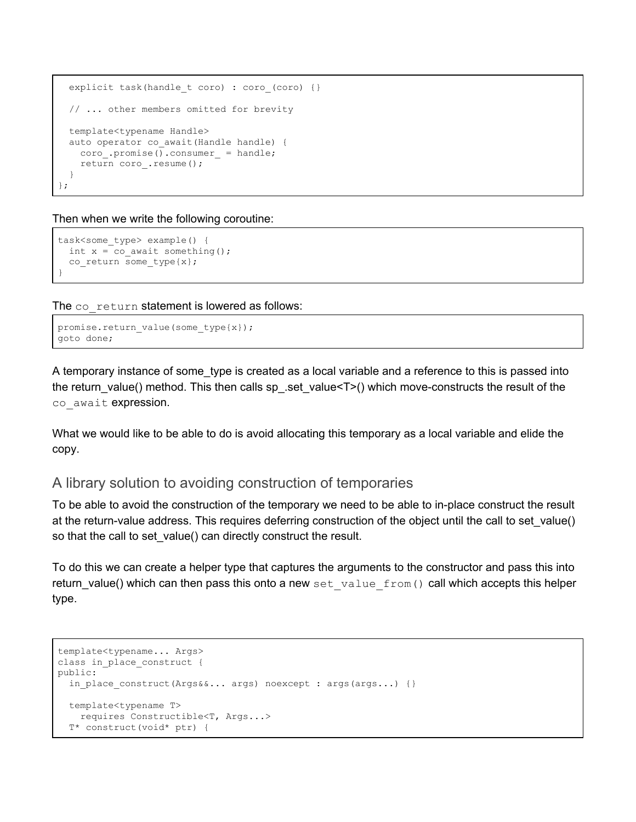```
explicit task(handle t coro) : coro (coro) {}
  // ... other members omitted for brevity
  template<typename Handle>
  auto operator co_await(Handle handle) {
    coro_.promise().consumer_ = handle;
    return coro_.resume();
  }
};
```
Then when we write the following coroutine:

```
task<some_type> example() {
 int x = co await something();
  co_return some_type{x};
}
```
The co\_return statement is lowered as follows:

```
promise.return value(some type{x});
goto done;
```
A temporary instance of some\_type is created as a local variable and a reference to this is passed into the return\_value() method. This then calls sp\_.set\_value<T>() which move-constructs the result of the co await expression.

What we would like to be able to do is avoid allocating this temporary as a local variable and elide the copy.

#### <span id="page-17-0"></span>A library solution to avoiding construction of temporaries

To be able to avoid the construction of the temporary we need to be able to in-place construct the result at the return-value address. This requires deferring construction of the object until the call to set\_value() so that the call to set\_value() can directly construct the result.

To do this we can create a helper type that captures the arguments to the constructor and pass this into return\_value() which can then pass this onto a new set\_value\_from() call which accepts this helper type.

```
template<typename... Args>
class in place construct {
public:
 in place construct(Args&&... args) noexcept : args(args...) {}
  template<typename T>
    requires Constructible<T, Args...>
  T* construct(void* ptr) {
```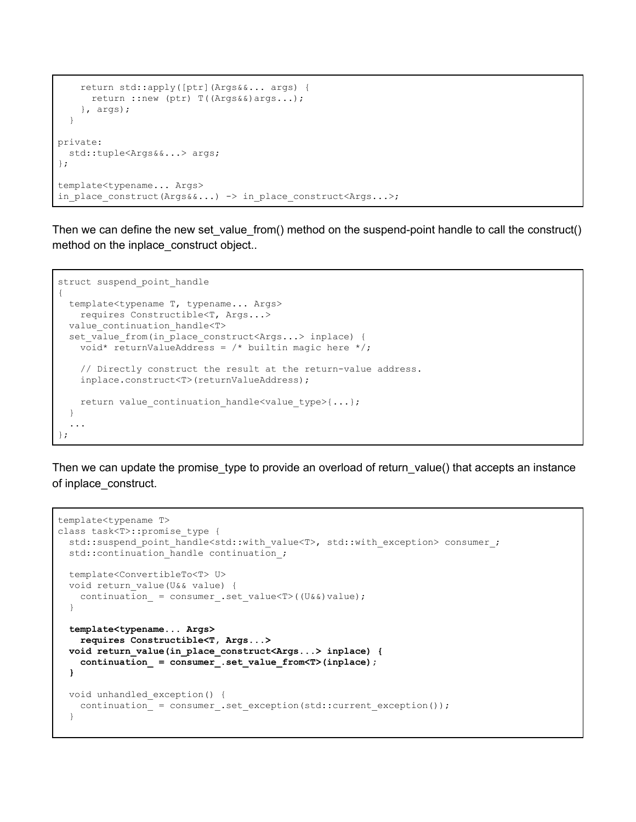```
 return std::apply([ptr](Args&&... args) {
     return :: new (ptr) T((Args&&)args...);
     }, args);
   }
private:
  std::tuple<Args&&...> args;
};
template<typename... Args>
in place construct(Args&&...) -> in place construct<Args...>;
```
Then we can define the new set\_value\_from() method on the suspend-point handle to call the construct() method on the inplace\_construct object..

```
struct suspend point handle
{
  template<typename T, typename... Args>
    requires Constructible<T, Args...>
 value continuation handle<T>
 set value from(in place construct<Args...> inplace) {
   void* returnValueAddress = /* builtin magic here */; // Directly construct the result at the return-value address.
    inplace.construct<T>(returnValueAddress);
   return value continuation handle<value type>{...};
  }
 ...
};
```
Then we can update the promise\_type to provide an overload of return\_value() that accepts an instance of inplace\_construct.

```
template<typename T>
class task<T>::promise_type {
  std::suspend_point_handle<std::with_value<T>, std::with_exception> consumer ;
  std::continuation handle continuation;
   template<ConvertibleTo<T> U>
   void return_value(U&& value) {
   continuation = consumer .set value<T>((U&&)value);
 }
   template<typename... Args>
    requires Constructible<T, Args...>
   void return_value(in_place_construct<Args...> inplace) {
     continuation_ = consumer_.set_value_from<T>(inplace);
   }
   void unhandled_exception() {
    continuation_ = consumer_.set_exception(std::current_exception());
   }
```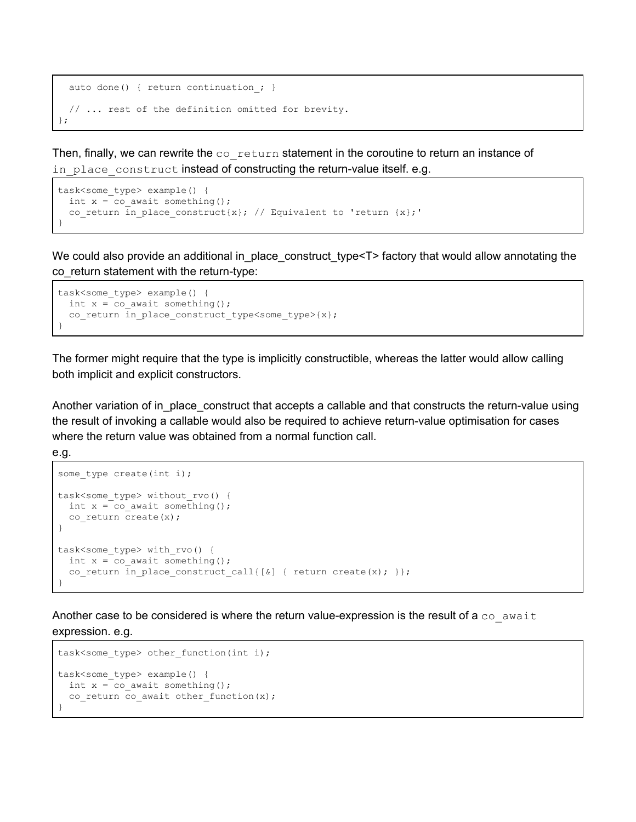```
auto done() { return continuation; }
  // ... rest of the definition omitted for brevity.
};
```
Then, finally, we can rewrite the  $\infty$  return statement in the coroutine to return an instance of in place construct instead of constructing the return-value itself. e.g.

```
task<some type> example() {
 int x = co await something();
 co return in place construct{x}; // Equivalent to 'return {x};'
}
```
We could also provide an additional in\_place\_construct\_type<T>factory that would allow annotating the co\_return statement with the return-type:

```
task<some type> example() {
 int x = co await something();
  co return in_place_construct_type<some_type>{x};
}
```
The former might require that the type is implicitly constructible, whereas the latter would allow calling both implicit and explicit constructors.

Another variation of in\_place\_construct that accepts a callable and that constructs the return-value using the result of invoking a callable would also be required to achieve return-value optimisation for cases where the return value was obtained from a normal function call.

```
e.g.
```

```
some type create(int i);
task<some_type>_without_rvo() {
 int x = co await something();
 co return create(x);
}
task<some type> with rvo() {
 int x = co await something();
  co return in place construct call {[&] { return create(x); }};
}
```
Another case to be considered is where the return value-expression is the result of a  $\cos$  await expression. e.g.

```
task<some type> other function(int i);
task<some_type> example() {
 int x = co await something();
  co_return co_await other_function(x);
}
```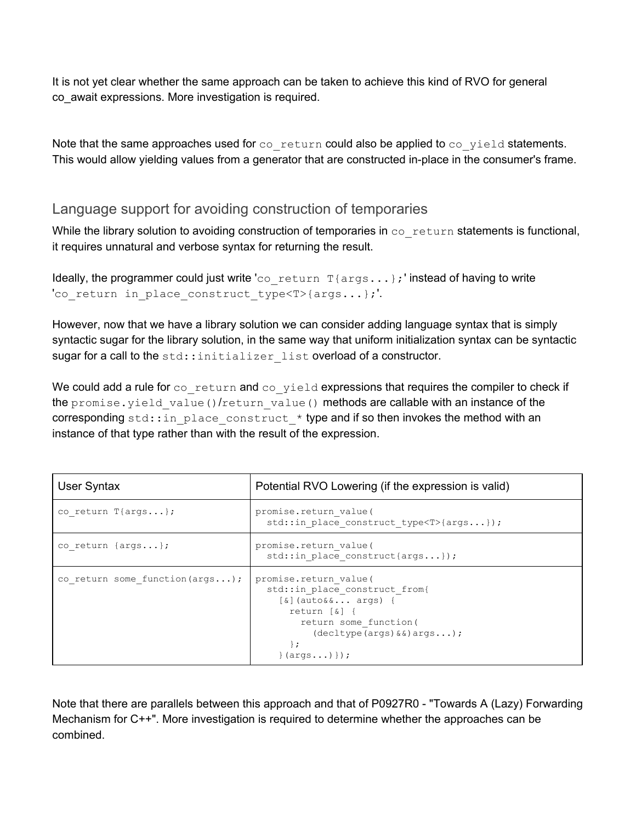It is not yet clear whether the same approach can be taken to achieve this kind of RVO for general co\_await expressions. More investigation is required.

Note that the same approaches used for  $\cos$  return could also be applied to  $\cos$  yield statements. This would allow yielding values from a generator that are constructed in-place in the consumer's frame.

#### <span id="page-20-0"></span>Language support for avoiding construction of temporaries

While the library solution to avoiding construction of temporaries in  $\cos$  return statements is functional, it requires unnatural and verbose syntax for returning the result.

```
Ideally, the programmer could just write 'co_return T{args...}; ' instead of having to write
'co return in place construct type<T>{args...};'.
```
However, now that we have a library solution we can consider adding language syntax that is simply syntactic sugar for the library solution, in the same way that uniform initialization syntax can be syntactic sugar for a call to the std::initializer list overload of a constructor.

We could add a rule for co\_return and co\_yield expressions that requires the compiler to check if the promise.yield value()/return value() methods are callable with an instance of the corresponding std::in place construct  $*$  type and if so then invokes the method with an instance of that type rather than with the result of the expression.

| User Syntax                                 | Potential RVO Lowering (if the expression is valid)                                                                                                                                                       |
|---------------------------------------------|-----------------------------------------------------------------------------------------------------------------------------------------------------------------------------------------------------------|
| co return $T\{args \}$ ;                    | promise.return value(<br>std:: in place construct type <t>{args});</t>                                                                                                                                    |
| co return $\{args \}$ ;                     | promise.return value(<br>std:: in place construct{args});                                                                                                                                                 |
| co return some function $(\arg s \ldots)$ ; | promise.return value(<br>std::in_place_construct_from{<br>$[\&]$ (auto&& args) {<br>return $\lceil \delta \rceil$ {<br>return some function (<br>$(dettype(args) & \&) args);$<br>$\cdot$<br>$\{args)\}\$ |

Note that there are parallels between this approach and that of P0927R0 - "Towards A (Lazy) Forwarding Mechanism for C++". More investigation is required to determine whether the approaches can be combined.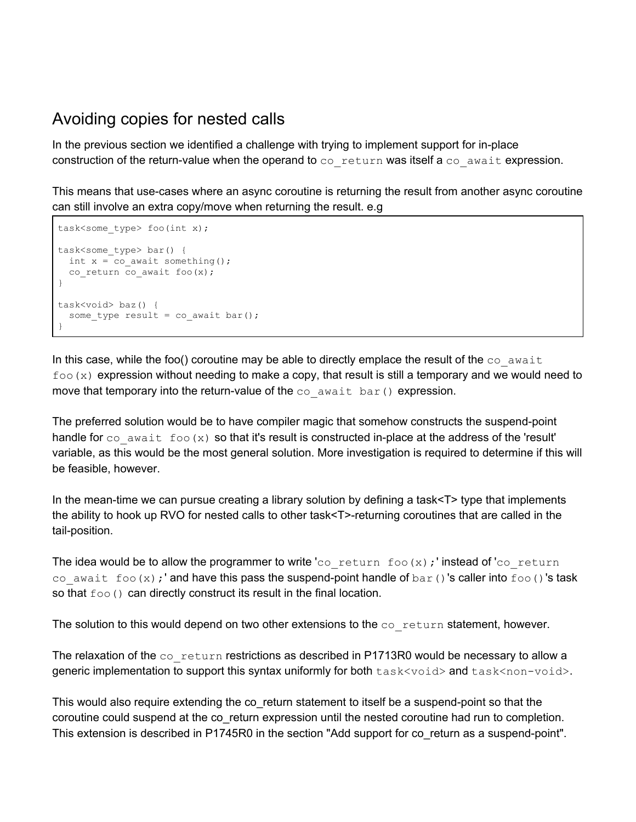### <span id="page-21-0"></span>Avoiding copies for nested calls

In the previous section we identified a challenge with trying to implement support for in-place construction of the return-value when the operand to co\_return was itself a co\_await expression.

This means that use-cases where an async coroutine is returning the result from another async coroutine can still involve an extra copy/move when returning the result. e.g

```
task<some_type> foo(int x);
task<some_type> bar() {
 int x = co await something();
 co return co await foo(x);
}
task<void> baz() {
 some_type result = co_await bar();
}
```
In this case, while the foo() coroutine may be able to directly emplace the result of the  $\infty$  await  $f \circ \circ (x)$  expression without needing to make a copy, that result is still a temporary and we would need to move that temporary into the return-value of the  $\cos$  await bar() expression.

The preferred solution would be to have compiler magic that somehow constructs the suspend-point handle for co\_await foo(x) so that it's result is constructed in-place at the address of the 'result' variable, as this would be the most general solution. More investigation is required to determine if this will be feasible, however.

In the mean-time we can pursue creating a library solution by defining a task<T> type that implements the ability to hook up RVO for nested calls to other task<T>-returning coroutines that are called in the tail-position.

The idea would be to allow the programmer to write 'coaracturn foo(x); ' instead of 'coaracturn co await foo(x);' and have this pass the suspend-point handle of bar()'s caller into foo()'s task so that  $f \circ \circ$  () can directly construct its result in the final location.

The solution to this would depend on two other extensions to the  $\infty$  return statement, however.

The relaxation of the co\_return restrictions as described in P1713R0 would be necessary to allow a generic implementation to support this syntax uniformly for both  $task\text{-}\text{void}>$  and  $task\text{-}\text{non-}\text{void}>$ .

This would also require extending the co\_return statement to itself be a suspend-point so that the coroutine could suspend at the co\_return expression until the nested coroutine had run to completion. This extension is described in P1745R0 in the section "Add support for co\_return as a [suspend-point](https://docs.google.com/document/d/1r3zUXZACqWUEapCgQVfOF_9mamD35XA6RJABE6QhQos/edit#heading=h.pdbkakbhyfso)".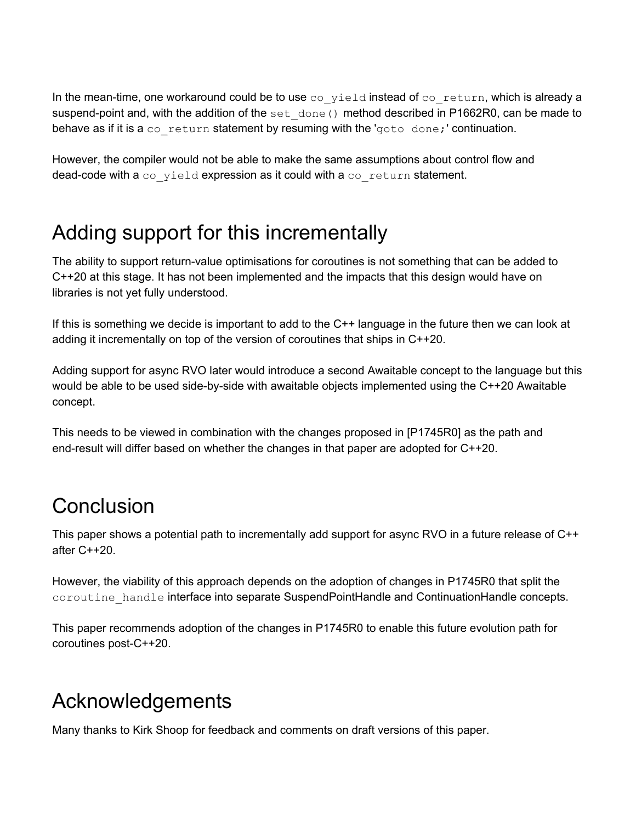In the mean-time, one workaround could be to use  $\cos$  yield instead of  $\cos$  return, which is already a suspend-point and, with the addition of the set  $\phi$  done() method described in P1662R0, can be made to behave as if it is a co-return statement by resuming with the 'goto done;' continuation.

However, the compiler would not be able to make the same assumptions about control flow and dead-code with a co\_yield expression as it could with a co\_return statement.

# <span id="page-22-0"></span>Adding support for this incrementally

The ability to support return-value optimisations for coroutines is not something that can be added to C++20 at this stage. It has not been implemented and the impacts that this design would have on libraries is not yet fully understood.

If this is something we decide is important to add to the C++ language in the future then we can look at adding it incrementally on top of the version of coroutines that ships in C++20.

Adding support for async RVO later would introduce a second Awaitable concept to the language but this would be able to be used side-by-side with awaitable objects implemented using the C++20 Awaitable concept.

This needs to be viewed in combination with the changes proposed in [P1745R0] as the path and end-result will differ based on whether the changes in that paper are adopted for C++20.

### <span id="page-22-1"></span>**Conclusion**

This paper shows a potential path to incrementally add support for async RVO in a future release of C++ after C++20.

However, the viability of this approach depends on the adoption of changes in P1745R0 that split the coroutine handle interface into separate SuspendPointHandle and ContinuationHandle concepts.

This paper recommends adoption of the changes in P1745R0 to enable this future evolution path for coroutines post-C++20.

# <span id="page-22-2"></span>Acknowledgements

Many thanks to Kirk Shoop for feedback and comments on draft versions of this paper.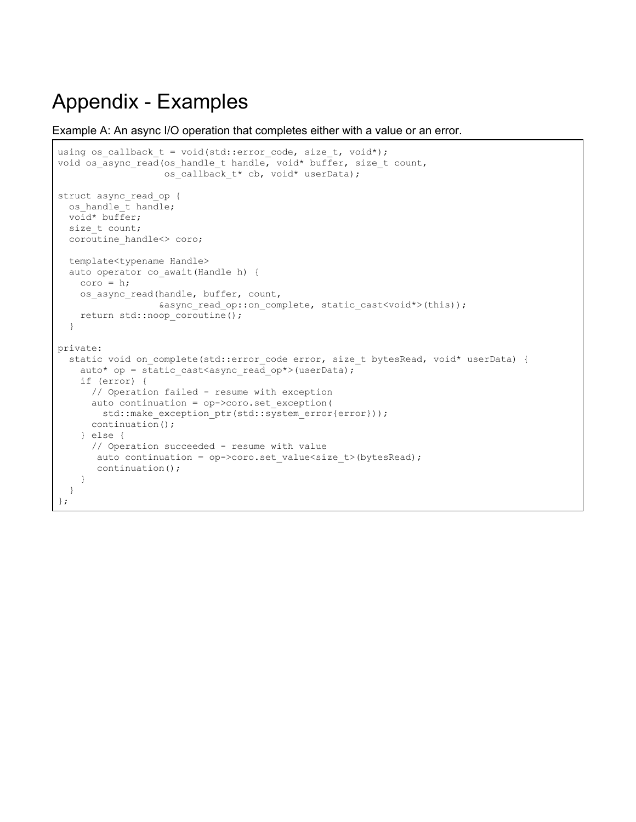# <span id="page-24-0"></span>Appendix - Examples

Example A: An async I/O operation that completes either with a value or an error.

```
using os_callback_t = void(std::error_code, size_t, void*);
void os_async_read(os_handle_t handle, void* buffer, size_t count,
                     os_callback_t* cb, void* userData);
struct async_read_op {
 os handle \overline{t} handle;
   void* buffer;
   size_t count;
   coroutine_handle<> coro;
   template<typename Handle>
   auto operator co_await(Handle h) {
   \text{coro} = h;
    os_async_read(handle, buffer, count,
                    &async_read_op::on_complete, static_cast<void*>(this));
    return std::noop_coroutine();
   }
private:
  static void on_complete(std::error_code error, size_t bytesRead, void* userData) {
    auto* op = static_cast<async_read_op*>(userData);
     if (error) {
       // Operation failed - resume with exception
       auto continuation = op->coro.set_exception(
        std::make exception ptr(std::system_error{error}));
       continuation();
     } else {
       // Operation succeeded - resume with value
       auto continuation = op->coro.set_value<size_t>(bytesRead);
        continuation();
     }
   }
};
```